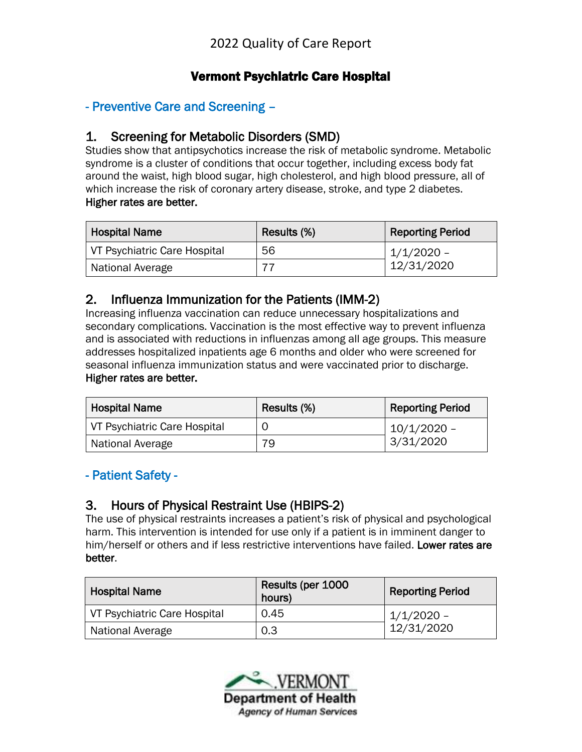## Vermont Psychiatric Care Hospital

## - Preventive Care and Screening –

#### 1. Screening for Metabolic Disorders (SMD)

Studies show that antipsychotics increase the risk of metabolic syndrome. Metabolic syndrome is a cluster of conditions that occur together, including excess body fat around the waist, high blood sugar, high cholesterol, and high blood pressure, all of which increase the risk of coronary artery disease, stroke, and type 2 diabetes. Higher rates are better.

| Hospital Name                | Results (%) | <b>Reporting Period</b> |
|------------------------------|-------------|-------------------------|
| VT Psychiatric Care Hospital | 56          | 1/1/2020 -              |
| National Average             |             | 12/31/2020              |

#### 2. Influenza Immunization for the Patients (IMM-2)

Increasing influenza vaccination can reduce unnecessary hospitalizations and secondary complications. Vaccination is the most effective way to prevent influenza and is associated with reductions in influenzas among all age groups. This measure addresses hospitalized inpatients age 6 months and older who were screened for seasonal influenza immunization status and were vaccinated prior to discharge. Higher rates are better.

| <b>Hospital Name</b>         | Results (%) | <b>Reporting Period</b> |
|------------------------------|-------------|-------------------------|
| VT Psychiatric Care Hospital |             | 10/1/2020 -             |
| National Average             | 79          | 3/31/2020               |

#### - Patient Safety -

#### 3. Hours of Physical Restraint Use (HBIPS-2)

The use of physical restraints increases a patient's risk of physical and psychological harm. This intervention is intended for use only if a patient is in imminent danger to him/herself or others and if less restrictive interventions have failed. Lower rates are better.

| <b>Hospital Name</b>         | Results (per 1000<br>hours) | <b>Reporting Period</b> |
|------------------------------|-----------------------------|-------------------------|
| VT Psychiatric Care Hospital | 0.45                        | $1/1/2020 -$            |
| National Average             | 0.3                         | 12/31/2020              |

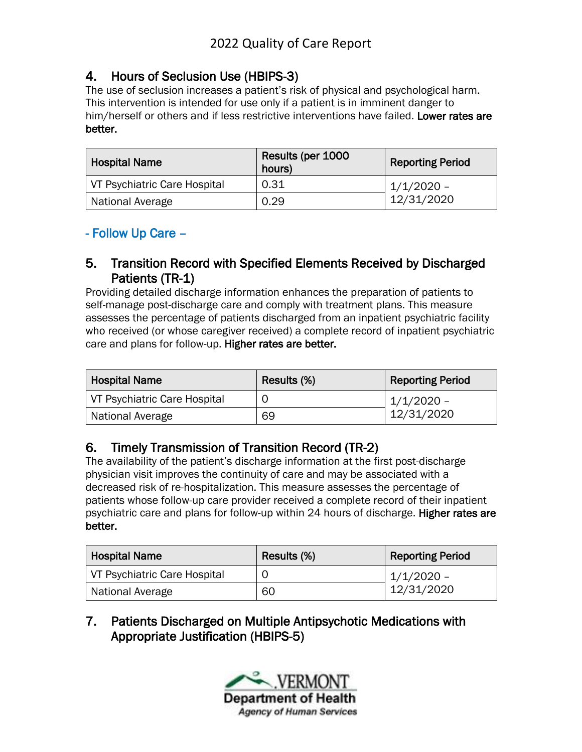## 4. Hours of Seclusion Use (HBIPS-3)

The use of seclusion increases a patient's risk of physical and psychological harm. This intervention is intended for use only if a patient is in imminent danger to him/herself or others and if less restrictive interventions have failed. Lower rates are better.

| <b>Hospital Name</b>         | Results (per 1000<br>hours) | <b>Reporting Period</b> |
|------------------------------|-----------------------------|-------------------------|
| VT Psychiatric Care Hospital | 0.31                        | $1/1/2020$ –            |
| National Average             | 0.29                        | 12/31/2020              |

## - Follow Up Care –

### 5. Transition Record with Specified Elements Received by Discharged Patients (TR-1)

Providing detailed discharge information enhances the preparation of patients to self-manage post-discharge care and comply with treatment plans. This measure assesses the percentage of patients discharged from an inpatient psychiatric facility who received (or whose caregiver received) a complete record of inpatient psychiatric care and plans for follow-up. Higher rates are better.

| <b>Hospital Name</b>         | Results (%) | <b>Reporting Period</b> |
|------------------------------|-------------|-------------------------|
| VT Psychiatric Care Hospital |             | $1/1/2020 -$            |
| National Average             | 69          | 12/31/2020              |

## 6. Timely Transmission of Transition Record (TR-2)

The availability of the patient's discharge information at the first post-discharge physician visit improves the continuity of care and may be associated with a decreased risk of re-hospitalization. This measure assesses the percentage of patients whose follow-up care provider received a complete record of their inpatient psychiatric care and plans for follow-up within 24 hours of discharge. Higher rates are better.

| <b>Hospital Name</b>         | Results (%) | <b>Reporting Period</b> |
|------------------------------|-------------|-------------------------|
| VT Psychiatric Care Hospital |             | 1/1/2020 -              |
| National Average             | 60          | 12/31/2020              |

## 7. Patients Discharged on Multiple Antipsychotic Medications with Appropriate Justification (HBIPS-5)

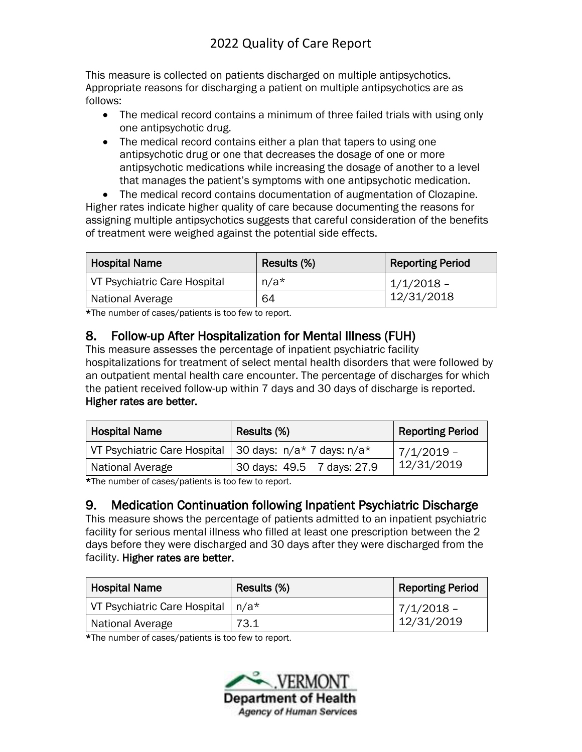This measure is collected on patients discharged on multiple antipsychotics. Appropriate reasons for discharging a patient on multiple antipsychotics are as follows:

- The medical record contains a minimum of three failed trials with using only one antipsychotic drug.
- The medical record contains either a plan that tapers to using one antipsychotic drug or one that decreases the dosage of one or more antipsychotic medications while increasing the dosage of another to a level that manages the patient's symptoms with one antipsychotic medication.

• The medical record contains documentation of augmentation of Clozapine. Higher rates indicate higher quality of care because documenting the reasons for assigning multiple antipsychotics suggests that careful consideration of the benefits of treatment were weighed against the potential side effects.

| <b>Hospital Name</b>         | Results (%) | <b>Reporting Period</b> |
|------------------------------|-------------|-------------------------|
| VT Psychiatric Care Hospital | $n/a*$      | $1/1/2018$ –            |
| National Average             | 64          | 12/31/2018              |

\*The number of cases/patients is too few to report.

## 8. Follow-up After Hospitalization for Mental Illness (FUH)

This measure assesses the percentage of inpatient psychiatric facility hospitalizations for treatment of select mental health disorders that were followed by an outpatient mental health care encounter. The percentage of discharges for which the patient received follow-up within 7 days and 30 days of discharge is reported. Higher rates are better.

| <b>Hospital Name</b>                                      | Results (%)                | <b>Reporting Period</b> |
|-----------------------------------------------------------|----------------------------|-------------------------|
| VT Psychiatric Care Hospital   30 days: n/a* 7 days: n/a* |                            | $ 7/1/2019 -$           |
| National Average                                          | 30 days: 49.5 7 days: 27.9 | 12/31/2019              |

\*The number of cases/patients is too few to report.

## 9. Medication Continuation following Inpatient Psychiatric Discharge

This measure shows the percentage of patients admitted to an inpatient psychiatric facility for serious mental illness who filled at least one prescription between the 2 days before they were discharged and 30 days after they were discharged from the facility. Higher rates are better.

| <b>Hospital Name</b>                | Results (%) | <b>Reporting Period</b> |
|-------------------------------------|-------------|-------------------------|
| VT Psychiatric Care Hospital   n/a* |             | $7/1/2018$ -            |
| National Average                    | 73.1        | 12/31/2019              |

\*The number of cases/patients is too few to report.

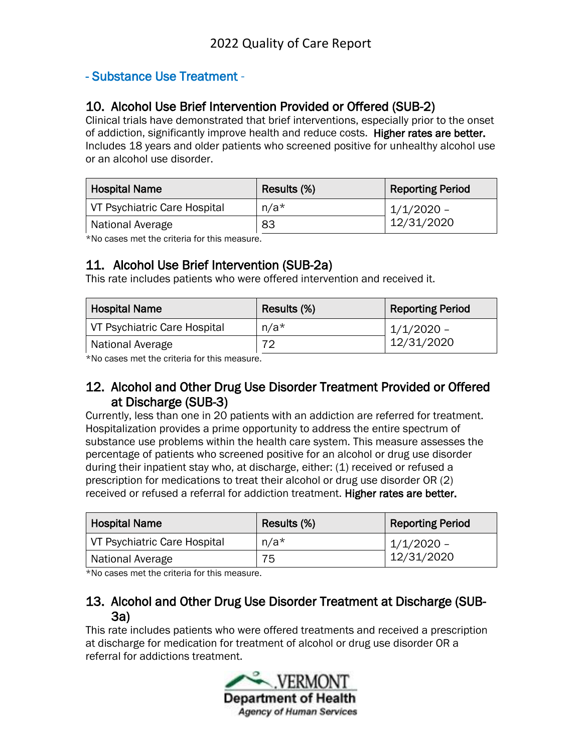### - Substance Use Treatment -

### 10. Alcohol Use Brief Intervention Provided or Offered (SUB-2)

Clinical trials have demonstrated that brief interventions, especially prior to the onset of addiction, significantly improve health and reduce costs. Higher rates are better. Includes 18 years and older patients who screened positive for unhealthy alcohol use or an alcohol use disorder.

| <b>Hospital Name</b>         | Results (%) | <b>Reporting Period</b> |
|------------------------------|-------------|-------------------------|
| VT Psychiatric Care Hospital | $n/a*$      | 1/1/2020 -              |
| National Average             | 83          | 12/31/2020              |

\*No cases met the criteria for this measure.

### 11. Alcohol Use Brief Intervention (SUB-2a)

This rate includes patients who were offered intervention and received it.

| <b>Hospital Name</b>         | Results (%) | <b>Reporting Period</b> |
|------------------------------|-------------|-------------------------|
| VT Psychiatric Care Hospital | n/a*        | $1/1/2020$ –            |
| National Average             | 70          | 12/31/2020              |

\*No cases met the criteria for this measure.

#### 12. Alcohol and Other Drug Use Disorder Treatment Provided or Offered at Discharge (SUB-3)

Currently, less than one in 20 patients with an addiction are referred for treatment. Hospitalization provides a prime opportunity to address the entire spectrum of substance use problems within the health care system. This measure assesses the percentage of patients who screened positive for an alcohol or drug use disorder during their inpatient stay who, at discharge, either: (1) received or refused a prescription for medications to treat their alcohol or drug use disorder OR (2) received or refused a referral for addiction treatment. Higher rates are better.

| <b>Hospital Name</b>         | Results (%) | <b>Reporting Period</b> |
|------------------------------|-------------|-------------------------|
| VT Psychiatric Care Hospital | $n/a*$      | $1/1/2020$ –            |
| National Average             | 75          | 12/31/2020              |

\*No cases met the criteria for this measure.

#### 13. Alcohol and Other Drug Use Disorder Treatment at Discharge (SUB-3a)

This rate includes patients who were offered treatments and received a prescription at discharge for medication for treatment of alcohol or drug use disorder OR a referral for addictions treatment.

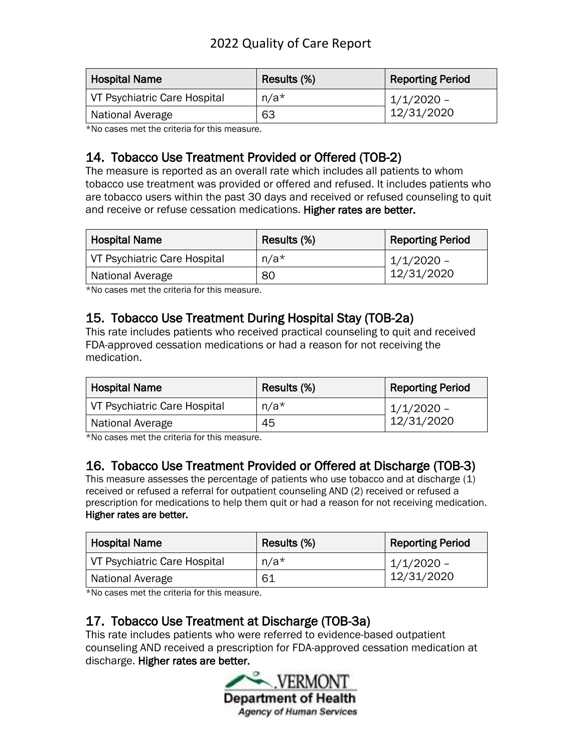| <b>Hospital Name</b>         | Results (%) | <b>Reporting Period</b> |
|------------------------------|-------------|-------------------------|
| VT Psychiatric Care Hospital | $n/a*$      | $1/1/2020$ –            |
| National Average             | 63          | 12/31/2020              |

\*No cases met the criteria for this measure.

## 14. Tobacco Use Treatment Provided or Offered (TOB-2)

The measure is reported as an overall rate which includes all patients to whom tobacco use treatment was provided or offered and refused. It includes patients who are tobacco users within the past 30 days and received or refused counseling to quit and receive or refuse cessation medications. Higher rates are better.

| <b>Hospital Name</b>         | Results (%) | <b>Reporting Period</b> |
|------------------------------|-------------|-------------------------|
| VT Psychiatric Care Hospital | $n/a*$      | $1/1/2020$ -            |
| National Average             | 80          | 12/31/2020              |

\*No cases met the criteria for this measure.

## 15. Tobacco Use Treatment During Hospital Stay (TOB-2a)

This rate includes patients who received practical counseling to quit and received FDA-approved cessation medications or had a reason for not receiving the medication.

| <b>Hospital Name</b>         | Results (%) | <b>Reporting Period</b> |
|------------------------------|-------------|-------------------------|
| VT Psychiatric Care Hospital | $n/a*$      | $1/1/2020$ –            |
| National Average             | 45          | 12/31/2020              |

\*No cases met the criteria for this measure.

## 16. Tobacco Use Treatment Provided or Offered at Discharge (TOB-3)

This measure assesses the percentage of patients who use tobacco and at discharge (1) received or refused a referral for outpatient counseling AND (2) received or refused a prescription for medications to help them quit or had a reason for not receiving medication. Higher rates are better.

| <b>Hospital Name</b>         | Results (%) | <b>Reporting Period</b> |
|------------------------------|-------------|-------------------------|
| VT Psychiatric Care Hospital | $n/a*$      | $1/1/2020$ -            |
| National Average             | -61         | 12/31/2020              |

\*No cases met the criteria for this measure.

## 17. Tobacco Use Treatment at Discharge (TOB-3a)

This rate includes patients who were referred to evidence-based outpatient counseling AND received a prescription for FDA-approved cessation medication at discharge. Higher rates are better.